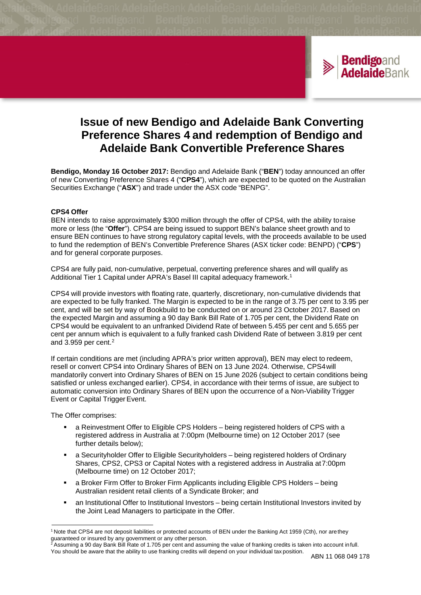

# **Issue of new Bendigo and Adelaide Bank Converting Preference Shares 4 and redemption of Bendigo and Adelaide Bank Convertible Preference Shares**

**Bendigo, Monday 16 October 2017:** Bendigo and Adelaide Bank ("**BEN**") today announced an offer of new Converting Preference Shares 4 ("**CPS4**"), which are expected to be quoted on the Australian Securities Exchange ("**ASX**") and trade under the ASX code "BENPG".

## **CPS4 Offer**

BEN intends to raise approximately \$300 million through the offer of CPS4, with the ability toraise more or less (the "**Offer**"). CPS4 are being issued to support BEN's balance sheet growth and to ensure BEN continues to have strong regulatory capital levels, with the proceeds available to be used to fund the redemption of BEN's Convertible Preference Shares (ASX ticker code: BENPD) ("**CPS**") and for general corporate purposes.

CPS4 are fully paid, non-cumulative, perpetual, converting preference shares and will qualify as Additional Tier 1 Capital under APRA's Basel III capital adequacy framework.<sup>1</sup>

CPS4 will provide investors with floating rate, quarterly, discretionary, non-cumulative dividends that are expected to be fully franked. The Margin is expected to be in the range of 3.75 per cent to 3.95 per cent, and will be set by way of Bookbuild to be conducted on or around 23 October 2017. Based on the expected Margin and assuming a 90 day Bank Bill Rate of 1.705 per cent, the Dividend Rate on CPS4 would be equivalent to an unfranked Dividend Rate of between 5.455 per cent and 5.655 per cent per annum which is equivalent to a fully franked cash Dividend Rate of between 3.819 per cent and 3.959 per cent. 2

If certain conditions are met (including APRA's prior written approval), BEN may elect to redeem, resell or convert CPS4 into Ordinary Shares of BEN on 13 June 2024. Otherwise, CPS4will mandatorily convert into Ordinary Shares of BEN on 15 June 2026 (subject to certain conditions being satisfied or unless exchanged earlier). CPS4, in accordance with their terms of issue, are subject to automatic conversion into Ordinary Shares of BEN upon the occurrence of a Non-Viability Trigger Event or Capital Trigger Event.

The Offer comprises:

- a Reinvestment Offer to Eligible CPS Holders being registered holders of CPS with a registered address in Australia at 7:00pm (Melbourne time) on 12 October 2017 (see further details below);
- a Securityholder Offer to Eligible Securityholders being registered holders of Ordinary Shares, CPS2, CPS3 or Capital Notes with a registered address in Australia at7:00pm (Melbourne time) on 12 October 2017;
- a Broker Firm Offer to Broker Firm Applicants including Eligible CPS Holders being Australian resident retail clients of a Syndicate Broker; and
- an Institutional Offer to Institutional Investors being certain Institutional Investors invited by the Joint Lead Managers to participate in the Offer.

<sup>&</sup>lt;sup>1</sup> Note that CPS4 are not deposit liabilities or protected accounts of BEN under the Banking Act 1959 (Cth), nor are they guaranteed or insured by any government or any other person.

<sup>2</sup> Assuming a 90 day Bank Bill Rate of 1.705 per cent and assuming the value of franking credits is taken into account infull. You should be aware that the ability to use franking credits will depend on your individual tax position. ABN 11 068 049 178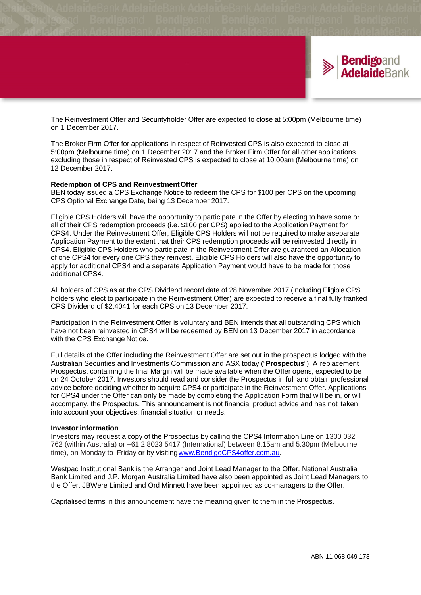

The Reinvestment Offer and Securityholder Offer are expected to close at 5:00pm (Melbourne time) on 1 December 2017.

The Broker Firm Offer for applications in respect of Reinvested CPS is also expected to close at 5:00pm (Melbourne time) on 1 December 2017 and the Broker Firm Offer for all other applications excluding those in respect of Reinvested CPS is expected to close at 10:00am (Melbourne time) on 12 December 2017.

#### **Redemption of CPS and ReinvestmentOffer**

BEN today issued a CPS Exchange Notice to redeem the CPS for \$100 per CPS on the upcoming CPS Optional Exchange Date, being 13 December 2017.

Eligible CPS Holders will have the opportunity to participate in the Offer by electing to have some or all of their CPS redemption proceeds (i.e. \$100 per CPS) applied to the Application Payment for CPS4. Under the Reinvestment Offer, Eligible CPS Holders will not be required to make aseparate Application Payment to the extent that their CPS redemption proceeds will be reinvested directly in CPS4. Eligible CPS Holders who participate in the Reinvestment Offer are guaranteed an Allocation of one CPS4 for every one CPS they reinvest. Eligible CPS Holders will also have the opportunity to apply for additional CPS4 and a separate Application Payment would have to be made for those additional CPS4.

All holders of CPS as at the CPS Dividend record date of 28 November 2017 (including Eligible CPS holders who elect to participate in the Reinvestment Offer) are expected to receive a final fully franked CPS Dividend of \$2.4041 for each CPS on 13 December 2017.

Participation in the Reinvestment Offer is voluntary and BEN intends that all outstanding CPS which have not been reinvested in CPS4 will be redeemed by BEN on 13 December 2017 in accordance with the CPS Exchange Notice.

Full details of the Offer including the Reinvestment Offer are set out in the prospectus lodged with the Australian Securities and Investments Commission and ASX today ("**Prospectus**"). A replacement Prospectus, containing the final Margin will be made available when the Offer opens, expected to be on 24 October 2017. Investors should read and consider the Prospectus in full and obtainprofessional advice before deciding whether to acquire CPS4 or participate in the Reinvestment Offer. Applications for CPS4 under the Offer can only be made by completing the Application Form that will be in, or will accompany, the Prospectus. This announcement is not financial product advice and has not taken into account your objectives, financial situation or needs.

#### **Investor information**

Investors may request a copy of the Prospectus by calling the CPS4 Information Line on 1300 032 762 (within Australia) or +61 2 8023 5417 (International) between 8.15am and 5.30pm (Melbourne time), on Monday to Friday or by visitin[gwww.BendigoCPS4offer.com.au.](http://www.bendigocps4offer.com.au/)

Westpac Institutional Bank is the Arranger and Joint Lead Manager to the Offer. National Australia Bank Limited and J.P. Morgan Australia Limited have also been appointed as Joint Lead Managers to the Offer. JBWere Limited and Ord Minnett have been appointed as co-managers to the Offer.

Capitalised terms in this announcement have the meaning given to them in the Prospectus.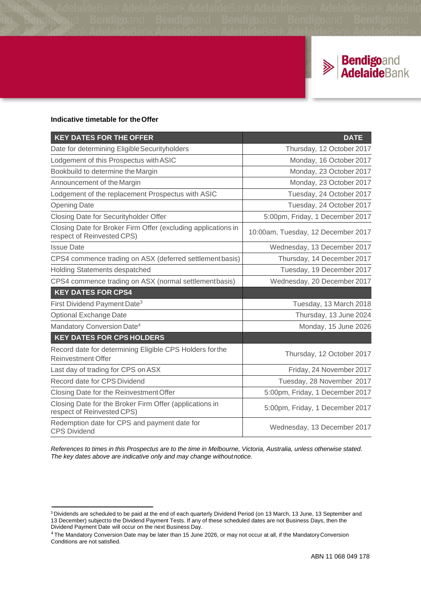

## **Indicative timetable for theOffer**

| <b>KEY DATES FOR THE OFFER</b>                                                              | <b>DATE</b>                        |
|---------------------------------------------------------------------------------------------|------------------------------------|
| Date for determining Eligible Securityholders                                               | Thursday, 12 October 2017          |
| Lodgement of this Prospectus with ASIC                                                      | Monday, 16 October 2017            |
| Bookbuild to determine the Margin                                                           | Monday, 23 October 2017            |
| Announcement of the Margin                                                                  | Monday, 23 October 2017            |
| Lodgement of the replacement Prospectus with ASIC                                           | Tuesday, 24 October 2017           |
| <b>Opening Date</b>                                                                         | Tuesday, 24 October 2017           |
| Closing Date for Securityholder Offer                                                       | 5:00pm, Friday, 1 December 2017    |
| Closing Date for Broker Firm Offer (excluding applications in<br>respect of Reinvested CPS) | 10:00am, Tuesday, 12 December 2017 |
| <b>Issue Date</b>                                                                           | Wednesday, 13 December 2017        |
| CPS4 commence trading on ASX (deferred settlement basis)                                    | Thursday, 14 December 2017         |
| <b>Holding Statements despatched</b>                                                        | Tuesday, 19 December 2017          |
| CPS4 commence trading on ASX (normal settlementbasis)                                       | Wednesday, 20 December 2017        |
| <b>KEY DATES FOR CPS4</b>                                                                   |                                    |
| First Dividend Payment Date <sup>3</sup>                                                    | Tuesday, 13 March 2018             |
| <b>Optional Exchange Date</b>                                                               | Thursday, 13 June 2024             |
| Mandatory Conversion Date <sup>4</sup>                                                      | Monday, 15 June 2026               |
| <b>KEY DATES FOR CPS HOLDERS</b>                                                            |                                    |
| Record date for determining Eligible CPS Holders for the<br><b>Reinvestment Offer</b>       | Thursday, 12 October 2017          |
| Last day of trading for CPS on ASX                                                          | Friday, 24 November 2017           |
| Record date for CPS Dividend                                                                | Tuesday, 28 November 2017          |
| Closing Date for the Reinvestment Offer                                                     | 5:00pm, Friday, 1 December 2017    |
| Closing Date for the Broker Firm Offer (applications in<br>respect of Reinvested CPS)       | 5:00pm, Friday, 1 December 2017    |
| Redemption date for CPS and payment date for<br><b>CPS Dividend</b>                         | Wednesday, 13 December 2017        |

References to times in this Prospectus are to the time in Melbourne, Victoria, Australia, unless otherwise stated. *The key dates above are indicative only and may change withoutnotice.*

 $3$  Dividends are scheduled to be paid at the end of each quarterly Dividend Period (on 13 March, 13 June, 13 September and 13 December) subjectto the Dividend Payment Tests. If any of these scheduled dates are not Business Days, then the Dividend Payment Date will occur on the next Business Day.

<sup>&</sup>lt;sup>4</sup> The Mandatory Conversion Date may be later than 15 June 2026, or may not occur at all, if the Mandatory Conversion Conditions are not satisfied.